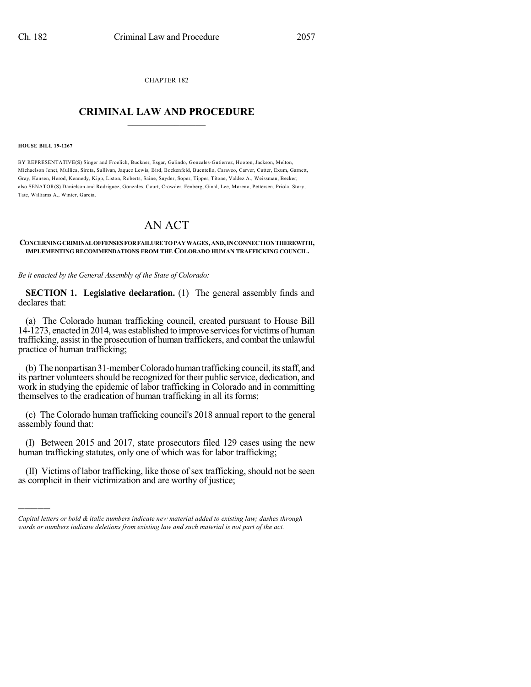CHAPTER 182  $\overline{\phantom{a}}$  . The set of the set of the set of the set of the set of the set of the set of the set of the set of the set of the set of the set of the set of the set of the set of the set of the set of the set of the set o

## **CRIMINAL LAW AND PROCEDURE**  $\frac{1}{2}$  ,  $\frac{1}{2}$  ,  $\frac{1}{2}$  ,  $\frac{1}{2}$  ,  $\frac{1}{2}$  ,  $\frac{1}{2}$  ,  $\frac{1}{2}$

## **HOUSE BILL 19-1267**

)))))

BY REPRESENTATIVE(S) Singer and Froelich, Buckner, Esgar, Galindo, Gonzales-Gutierrez, Hooton, Jackson, Melton, Michaelson Jenet, Mullica, Sirota, Sullivan, Jaquez Lewis, Bird, Bockenfeld, Buentello, Caraveo, Carver, Cutter, Exum, Garnett, Gray, Hansen, Herod, Kennedy, Kipp, Liston, Roberts, Saine, Snyder, Soper, Tipper, Titone, Valdez A., Weissman, Becker; also SENATOR(S) Danielson and Rodriguez, Gonzales, Court, Crowder, Fenberg, Ginal, Lee, Moreno, Pettersen, Priola, Story, Tate, Williams A., Winter, Garcia.

## AN ACT

## **CONCERNINGCRIMINALOFFENSESFORFAILURETOPAYWAGES,AND,INCONNECTIONTHEREWITH, IMPLEMENTING RECOMMENDATIONS FROM THE COLORADO HUMAN TRAFFICKING COUNCIL.**

*Be it enacted by the General Assembly of the State of Colorado:*

**SECTION 1. Legislative declaration.** (1) The general assembly finds and declares that:

(a) The Colorado human trafficking council, created pursuant to House Bill 14-1273, enacted in 2014, was established to improve servicesfor victims of human trafficking, assist in the prosecution of human traffickers, and combat the unlawful practice of human trafficking;

(b) The nonpartisan 31-member Colorado human trafficking council, its staff, and its partner volunteers should be recognized for their public service, dedication, and work in studying the epidemic of labor trafficking in Colorado and in committing themselves to the eradication of human trafficking in all its forms;

(c) The Colorado human trafficking council's 2018 annual report to the general assembly found that:

(I) Between 2015 and 2017, state prosecutors filed 129 cases using the new human trafficking statutes, only one of which was for labor trafficking;

(II) Victims of labor trafficking, like those of sex trafficking, should not be seen as complicit in their victimization and are worthy of justice;

*Capital letters or bold & italic numbers indicate new material added to existing law; dashes through words or numbers indicate deletions from existing law and such material is not part of the act.*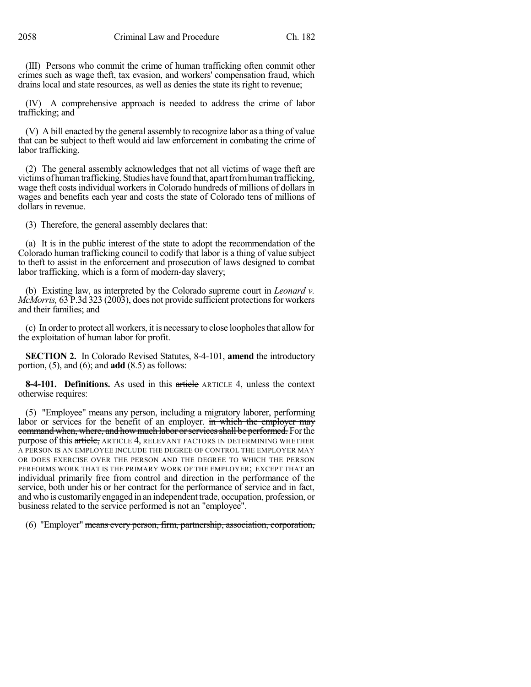(III) Persons who commit the crime of human trafficking often commit other crimes such as wage theft, tax evasion, and workers' compensation fraud, which drains local and state resources, as well as denies the state its right to revenue;

(IV) A comprehensive approach is needed to address the crime of labor trafficking; and

(V) A bill enacted by the general assembly to recognize labor as a thing of value that can be subject to theft would aid law enforcement in combating the crime of labor trafficking.

(2) The general assembly acknowledges that not all victims of wage theft are victims of human trafficking. Studies have found that, apart from human trafficking, wage theft costs individual workers in Colorado hundreds of millions of dollars in wages and benefits each year and costs the state of Colorado tens of millions of dollars in revenue.

(3) Therefore, the general assembly declares that:

(a) It is in the public interest of the state to adopt the recommendation of the Colorado human trafficking council to codify that labor is a thing of value subject to theft to assist in the enforcement and prosecution of laws designed to combat labor trafficking, which is a form of modern-day slavery;

(b) Existing law, as interpreted by the Colorado supreme court in *Leonard v. McMorris,* 63 P.3d 323 (2003), does not provide sufficient protections for workers and their families; and

(c) In order to protect all workers, it is necessary to close loopholes that allow for the exploitation of human labor for profit.

**SECTION 2.** In Colorado Revised Statutes, 8-4-101, **amend** the introductory portion, (5), and (6); and **add** (8.5) as follows:

**8-4-101. Definitions.** As used in this article ARTICLE 4, unless the context otherwise requires:

(5) "Employee" means any person, including a migratory laborer, performing labor or services for the benefit of an employer. in which the employer may command when, where, and how much labor or services shall be performed. For the purpose of this article, ARTICLE 4, RELEVANT FACTORS IN DETERMINING WHETHER A PERSON IS AN EMPLOYEE INCLUDE THE DEGREE OF CONTROL THE EMPLOYER MAY OR DOES EXERCISE OVER THE PERSON AND THE DEGREE TO WHICH THE PERSON PERFORMS WORK THAT IS THE PRIMARY WORK OF THE EMPLOYER; EXCEPT THAT an individual primarily free from control and direction in the performance of the service, both under his or her contract for the performance of service and in fact, and who is customarilyengaged in an independent trade, occupation, profession, or business related to the service performed is not an "employee".

(6) "Employer" means every person, firm, partnership, association, corporation,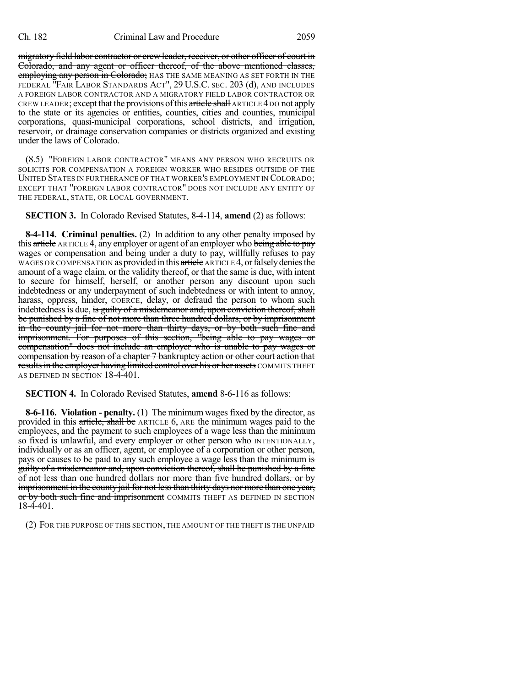migratory field labor contractor or crew leader, receiver, or other officer of court in Colorado, and any agent or officer thereof, of the above mentioned classes, employing any person in Colorado; HAS THE SAME MEANING AS SET FORTH IN THE FEDERAL "FAIR LABOR STANDARDS ACT", 29 U.S.C. SEC. 203 (d), AND INCLUDES A FOREIGN LABOR CONTRACTOR AND A MIGRATORY FIELD LABOR CONTRACTOR OR CREW LEADER; except that the provisions of this article shall ARTICLE 4 DO not apply to the state or its agencies or entities, counties, cities and counties, municipal corporations, quasi-municipal corporations, school districts, and irrigation, reservoir, or drainage conservation companies or districts organized and existing under the laws of Colorado.

(8.5) "FOREIGN LABOR CONTRACTOR" MEANS ANY PERSON WHO RECRUITS OR SOLICITS FOR COMPENSATION A FOREIGN WORKER WHO RESIDES OUTSIDE OF THE UNITED STATES IN FURTHERANCE OF THAT WORKER'S EMPLOYMENT IN COLORADO; EXCEPT THAT "FOREIGN LABOR CONTRACTOR" DOES NOT INCLUDE ANY ENTITY OF THE FEDERAL, STATE, OR LOCAL GOVERNMENT.

**SECTION 3.** In Colorado Revised Statutes, 8-4-114, **amend** (2) as follows:

**8-4-114. Criminal penalties.** (2) In addition to any other penalty imposed by this article ARTICLE 4, any employer or agent of an employer who being able to pay wages or compensation and being under a duty to pay, willfully refuses to pay WAGES OR COMPENSATION as provided in this article ARTICLE 4, or falsely denies the amount of a wage claim, or the validity thereof, or that the same is due, with intent to secure for himself, herself, or another person any discount upon such indebtedness or any underpayment of such indebtedness or with intent to annoy, harass, oppress, hinder, COERCE, delay, or defraud the person to whom such indebtedness is due, is guilty of a misdemeanor and, upon conviction thereof, shall be punished by a fine of not more than three hundred dollars, or by imprisonment in the county jail for not more than thirty days, or by both such fine and imprisonment. For purposes of this section, "being able to pay wages or compensation" does not include an employer who is unable to pay wages or compensation by reason of a chapter 7 bankruptcy action or other court action that results in the employer having limited control over his or her assets COMMITS THEFT AS DEFINED IN SECTION 18-4-401.

**SECTION 4.** In Colorado Revised Statutes, **amend** 8-6-116 as follows:

**8-6-116. Violation - penalty.** (1) The minimum wages fixed by the director, as provided in this article, shall be ARTICLE 6, ARE the minimum wages paid to the employees, and the payment to such employees of a wage less than the minimum so fixed is unlawful, and every employer or other person who INTENTIONALLY, individually or as an officer, agent, or employee of a corporation or other person, pays or causes to be paid to any such employee a wage less than the minimum is guilty of a misdemeanor and, upon conviction thereof, shall be punished by a fine of not less than one hundred dollars nor more than five hundred dollars, or by imprisonment in the county jail for not lessthan thirty days nor more than one year, or by both such fine and imprisonment COMMITS THEFT AS DEFINED IN SECTION 18-4-401.

(2) FOR THE PURPOSE OF THIS SECTION, THE AMOUNT OF THE THEFT IS THE UNPAID